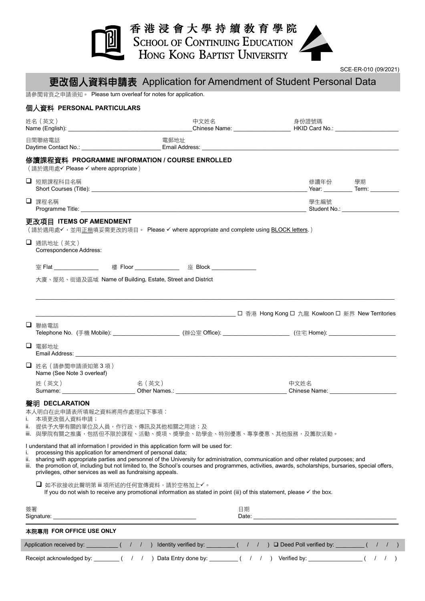## 香港浸會大學持續敎育學院<br>SCHOOL OF CONTINUING EDUCATION<br>HONG KONG BAPTIST UNIVERSITY

SCE-ER-010 (09/2021)

| 請參閱背頁之申請須知。 Please turn overleaf for notes for application.                                                                                                                                                                                                                      |                                                                                                                                                                                                                                                                                              |                                                                                                                                                                                                                                     |  |
|----------------------------------------------------------------------------------------------------------------------------------------------------------------------------------------------------------------------------------------------------------------------------------|----------------------------------------------------------------------------------------------------------------------------------------------------------------------------------------------------------------------------------------------------------------------------------------------|-------------------------------------------------------------------------------------------------------------------------------------------------------------------------------------------------------------------------------------|--|
| 個人資料 PERSONAL PARTICULARS                                                                                                                                                                                                                                                        |                                                                                                                                                                                                                                                                                              |                                                                                                                                                                                                                                     |  |
| 姓名(英文)                                                                                                                                                                                                                                                                           | 中文姓名                                                                                                                                                                                                                                                                                         | 身份證號碼                                                                                                                                                                                                                               |  |
| 日間聯絡電話                                                                                                                                                                                                                                                                           | 電郵地址                                                                                                                                                                                                                                                                                         |                                                                                                                                                                                                                                     |  |
| 修讀課程資料 PROGRAMME INFORMATION / COURSE ENROLLED<br>(請於適用處√ Please √ where appropriate)                                                                                                                                                                                            |                                                                                                                                                                                                                                                                                              |                                                                                                                                                                                                                                     |  |
| □ 短期課程科目名稱                                                                                                                                                                                                                                                                       |                                                                                                                                                                                                                                                                                              | 修讀年份<br>學期                                                                                                                                                                                                                          |  |
| □ 課程名稱                                                                                                                                                                                                                                                                           |                                                                                                                                                                                                                                                                                              | 學生編號                                                                                                                                                                                                                                |  |
| 更改項目 ITEMS OF AMENDMENT<br>□ 通訊地址 (英文)<br>Correspondence Address:                                                                                                                                                                                                                | (請於適用處✔,並用正楷填妥需更改的項目。 Please ✔ where appropriate and complete using <u>BLOCK letters</u> .)                                                                                                                                                                                                  |                                                                                                                                                                                                                                     |  |
| 大廈、屋苑、街道及區域 Name of Building, Estate, Street and District                                                                                                                                                                                                                        | 室 Flat _______________  樓 Floor _______________ 座 Block ______________                                                                                                                                                                                                                       |                                                                                                                                                                                                                                     |  |
|                                                                                                                                                                                                                                                                                  |                                                                                                                                                                                                                                                                                              |                                                                                                                                                                                                                                     |  |
| □ 聯絡電話<br>□ 電郵地址                                                                                                                                                                                                                                                                 | □ 香港  Hong Kong □ 九龍  Kowloon □  新界  New Territories<br>Telephone No. (手機 Mobile): ___________________________ (辦公室 Office): _______________________________ (住宅 Home): ______________________                                                                                               |                                                                                                                                                                                                                                     |  |
| □ 姓名 (請參閱申請須知第3項)<br>Name (See Note 3 overleaf)                                                                                                                                                                                                                                  | Email Address: Universe of the Contract of the Contract of the Contract of the Contract of the Contract of the                                                                                                                                                                               |                                                                                                                                                                                                                                     |  |
| 姓 (英文)                                                                                                                                                                                                                                                                           | 名(英文)<br>Surname: ____________________________Other Names.: _____________________________                                                                                                                                                                                                    | 中文姓名                                                                                                                                                                                                                                |  |
| 聲明 DECLARATION<br>本人明白在此申請表所填報之資料將用作處理以下事項:<br>本項更改個人資料申請;<br>ı.<br>提供予大學有關的單位及人員,作行政、傳訊及其他相關之用途;及<br>н.<br>iii.<br>I understand that all information I provided in this application form will be used for:<br>processing this application for amendment of personal data;<br>i. | 與學院有關之推廣,包括但不限於課程、活動、獎項、獎學金、助學金、特別優惠、專享優惠、其他服務,及籌款活動。                                                                                                                                                                                                                                        |                                                                                                                                                                                                                                     |  |
| ii.<br>privileges, other services as well as fundraising appeals.                                                                                                                                                                                                                | sharing with appropriate parties and personnel of the University for administration, communication and other related purposes; and<br>iii. the promotion of, including but not limited to, the School's courses and programmes, activities, awards, scholarships, bursaries, special offers, |                                                                                                                                                                                                                                     |  |
| U 如不欲接收此聲明第 iii 項所述的任何宣傳資料,請於空格加上✔。                                                                                                                                                                                                                                              | If you do not wish to receive any promotional information as stated in point (iii) of this statement, please √ the box.                                                                                                                                                                      |                                                                                                                                                                                                                                     |  |
| 簽署                                                                                                                                                                                                                                                                               | 日期                                                                                                                                                                                                                                                                                           | Date: <u>Date:</u> 2004 Contract 2006 Contract 2006 Contract 2006 Contract 2006 Contract 2006 Contract 2006 Contract 2006 Contract 2006 Contract 2006 Contract 2006 Contract 2006 Contract 2006 Contract 2006 Contract 2006 Contrac |  |
| 本院專用 FOR OFFICE USE ONLY                                                                                                                                                                                                                                                         |                                                                                                                                                                                                                                                                                              |                                                                                                                                                                                                                                     |  |

I